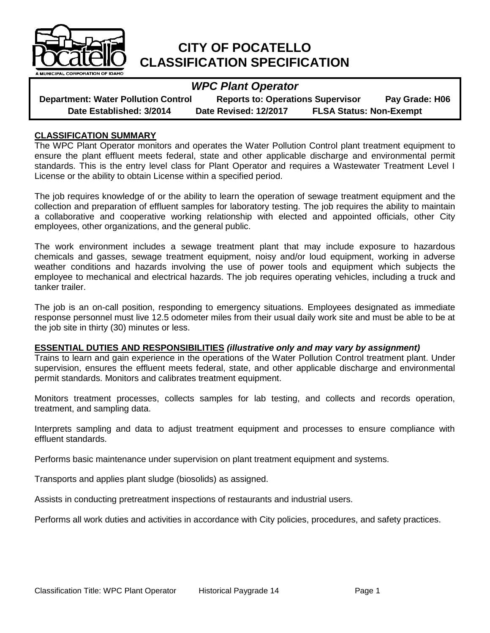

# **CITY OF POCATELLO CLASSIFICATION SPECIFICATION**

# *WPC Plant Operator*

| <b>Department: Water Pollution Control</b> | <b>Reports to: Operations Supervisor</b> |                                | Pay Grade: H06 |
|--------------------------------------------|------------------------------------------|--------------------------------|----------------|
| Date Established: 3/2014                   | Date Revised: 12/2017                    | <b>FLSA Status: Non-Exempt</b> |                |

#### **CLASSIFICATION SUMMARY**

The WPC Plant Operator monitors and operates the Water Pollution Control plant treatment equipment to ensure the plant effluent meets federal, state and other applicable discharge and environmental permit standards. This is the entry level class for Plant Operator and requires a Wastewater Treatment Level I License or the ability to obtain License within a specified period.

The job requires knowledge of or the ability to learn the operation of sewage treatment equipment and the collection and preparation of effluent samples for laboratory testing. The job requires the ability to maintain a collaborative and cooperative working relationship with elected and appointed officials, other City employees, other organizations, and the general public.

The work environment includes a sewage treatment plant that may include exposure to hazardous chemicals and gasses, sewage treatment equipment, noisy and/or loud equipment, working in adverse weather conditions and hazards involving the use of power tools and equipment which subjects the employee to mechanical and electrical hazards. The job requires operating vehicles, including a truck and tanker trailer.

The job is an on-call position, responding to emergency situations. Employees designated as immediate response personnel must live 12.5 odometer miles from their usual daily work site and must be able to be at the job site in thirty (30) minutes or less.

#### **ESSENTIAL DUTIES AND RESPONSIBILITIES** *(illustrative only and may vary by assignment)*

Trains to learn and gain experience in the operations of the Water Pollution Control treatment plant. Under supervision, ensures the effluent meets federal, state, and other applicable discharge and environmental permit standards. Monitors and calibrates treatment equipment.

Monitors treatment processes, collects samples for lab testing, and collects and records operation, treatment, and sampling data.

Interprets sampling and data to adjust treatment equipment and processes to ensure compliance with effluent standards.

Performs basic maintenance under supervision on plant treatment equipment and systems.

Transports and applies plant sludge (biosolids) as assigned.

Assists in conducting pretreatment inspections of restaurants and industrial users.

Performs all work duties and activities in accordance with City policies, procedures, and safety practices.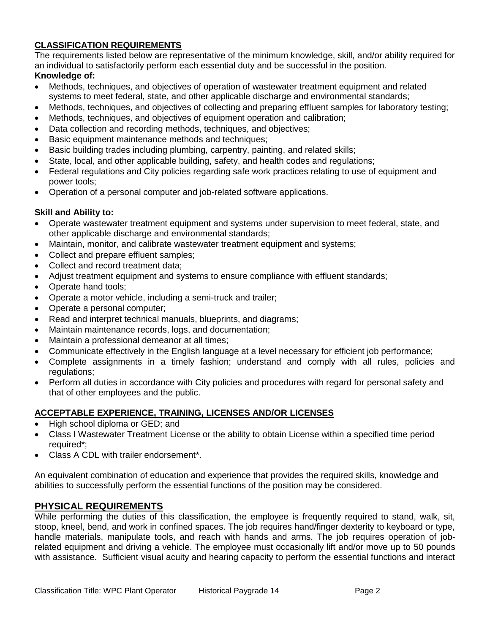## **CLASSIFICATION REQUIREMENTS**

The requirements listed below are representative of the minimum knowledge, skill, and/or ability required for an individual to satisfactorily perform each essential duty and be successful in the position. **Knowledge of:**

- Methods, techniques, and objectives of operation of wastewater treatment equipment and related systems to meet federal, state, and other applicable discharge and environmental standards;
- Methods, techniques, and objectives of collecting and preparing effluent samples for laboratory testing;
- Methods, techniques, and objectives of equipment operation and calibration;
- Data collection and recording methods, techniques, and objectives;
- Basic equipment maintenance methods and techniques;
- Basic building trades including plumbing, carpentry, painting, and related skills;
- State, local, and other applicable building, safety, and health codes and regulations;
- Federal regulations and City policies regarding safe work practices relating to use of equipment and power tools;
- Operation of a personal computer and job-related software applications.

#### **Skill and Ability to:**

- Operate wastewater treatment equipment and systems under supervision to meet federal, state, and other applicable discharge and environmental standards;
- Maintain, monitor, and calibrate wastewater treatment equipment and systems;
- Collect and prepare effluent samples;
- Collect and record treatment data:
- Adjust treatment equipment and systems to ensure compliance with effluent standards;
- Operate hand tools;
- Operate a motor vehicle, including a semi-truck and trailer;
- Operate a personal computer;
- Read and interpret technical manuals, blueprints, and diagrams;
- Maintain maintenance records, logs, and documentation;
- Maintain a professional demeanor at all times;
- Communicate effectively in the English language at a level necessary for efficient job performance;
- Complete assignments in a timely fashion; understand and comply with all rules, policies and regulations;
- Perform all duties in accordance with City policies and procedures with regard for personal safety and that of other employees and the public.

## **ACCEPTABLE EXPERIENCE, TRAINING, LICENSES AND/OR LICENSES**

- High school diploma or GED; and
- Class I Wastewater Treatment License or the ability to obtain License within a specified time period required\*;
- Class A CDL with trailer endorsement\*.

An equivalent combination of education and experience that provides the required skills, knowledge and abilities to successfully perform the essential functions of the position may be considered.

## **PHYSICAL REQUIREMENTS**

While performing the duties of this classification, the employee is frequently required to stand, walk, sit, stoop, kneel, bend, and work in confined spaces. The job requires hand/finger dexterity to keyboard or type, handle materials, manipulate tools, and reach with hands and arms. The job requires operation of jobrelated equipment and driving a vehicle. The employee must occasionally lift and/or move up to 50 pounds with assistance. Sufficient visual acuity and hearing capacity to perform the essential functions and interact